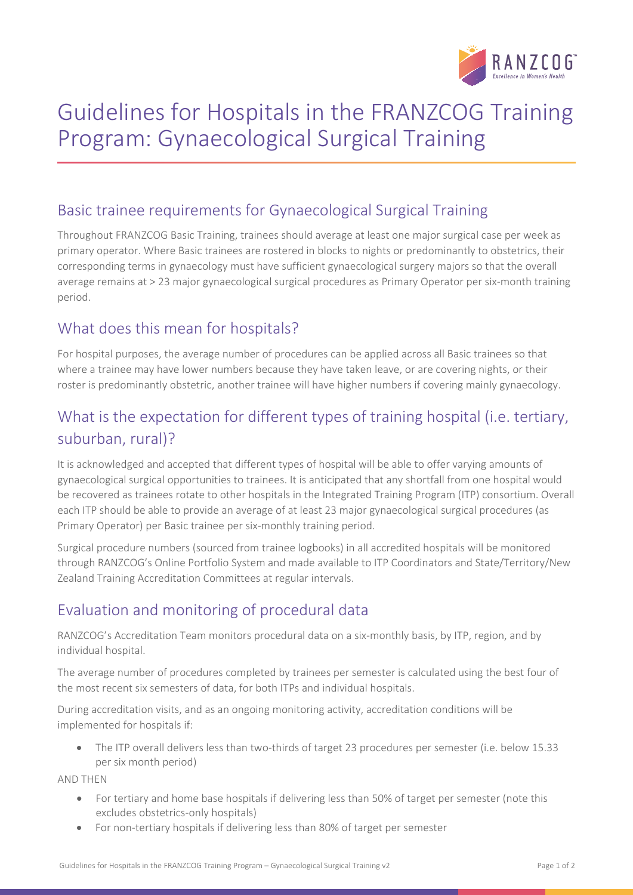

# Guidelines for Hospitals in the FRANZCOG Training Program: Gynaecological Surgical Training

#### Basic trainee requirements for Gynaecological Surgical Training

Throughout FRANZCOG Basic Training, trainees should average at least one major surgical case per week as primary operator. Where Basic trainees are rostered in blocks to nights or predominantly to obstetrics, their corresponding terms in gynaecology must have sufficient gynaecological surgery majors so that the overall average remains at > 23 major gynaecological surgical procedures as Primary Operator per six-month training period.

### What does this mean for hospitals?

For hospital purposes, the average number of procedures can be applied across all Basic trainees so that where a trainee may have lower numbers because they have taken leave, or are covering nights, or their roster is predominantly obstetric, another trainee will have higher numbers if covering mainly gynaecology.

## What is the expectation for different types of training hospital (i.e. tertiary, suburban, rural)?

It is acknowledged and accepted that different types of hospital will be able to offer varying amounts of gynaecological surgical opportunities to trainees. It is anticipated that any shortfall from one hospital would be recovered as trainees rotate to other hospitals in the Integrated Training Program (ITP) consortium. Overall each ITP should be able to provide an average of at least 23 major gynaecological surgical procedures (as Primary Operator) per Basic trainee per six-monthly training period.

Surgical procedure numbers (sourced from trainee logbooks) in all accredited hospitals will be monitored through RANZCOG's Online Portfolio System and made available to ITP Coordinators and State/Territory/New Zealand Training Accreditation Committees at regular intervals.

### Evaluation and monitoring of procedural data

RANZCOG's Accreditation Team monitors procedural data on a six-monthly basis, by ITP, region, and by individual hospital.

The average number of procedures completed by trainees per semester is calculated using the best four of the most recent six semesters of data, for both ITPs and individual hospitals.

During accreditation visits, and as an ongoing monitoring activity, accreditation conditions will be implemented for hospitals if:

• The ITP overall delivers less than two-thirds of target 23 procedures per semester (i.e. below 15.33 per six month period)

AND THEN

- For tertiary and home base hospitals if delivering less than 50% of target per semester (note this excludes obstetrics-only hospitals)
- For non-tertiary hospitals if delivering less than 80% of target per semester